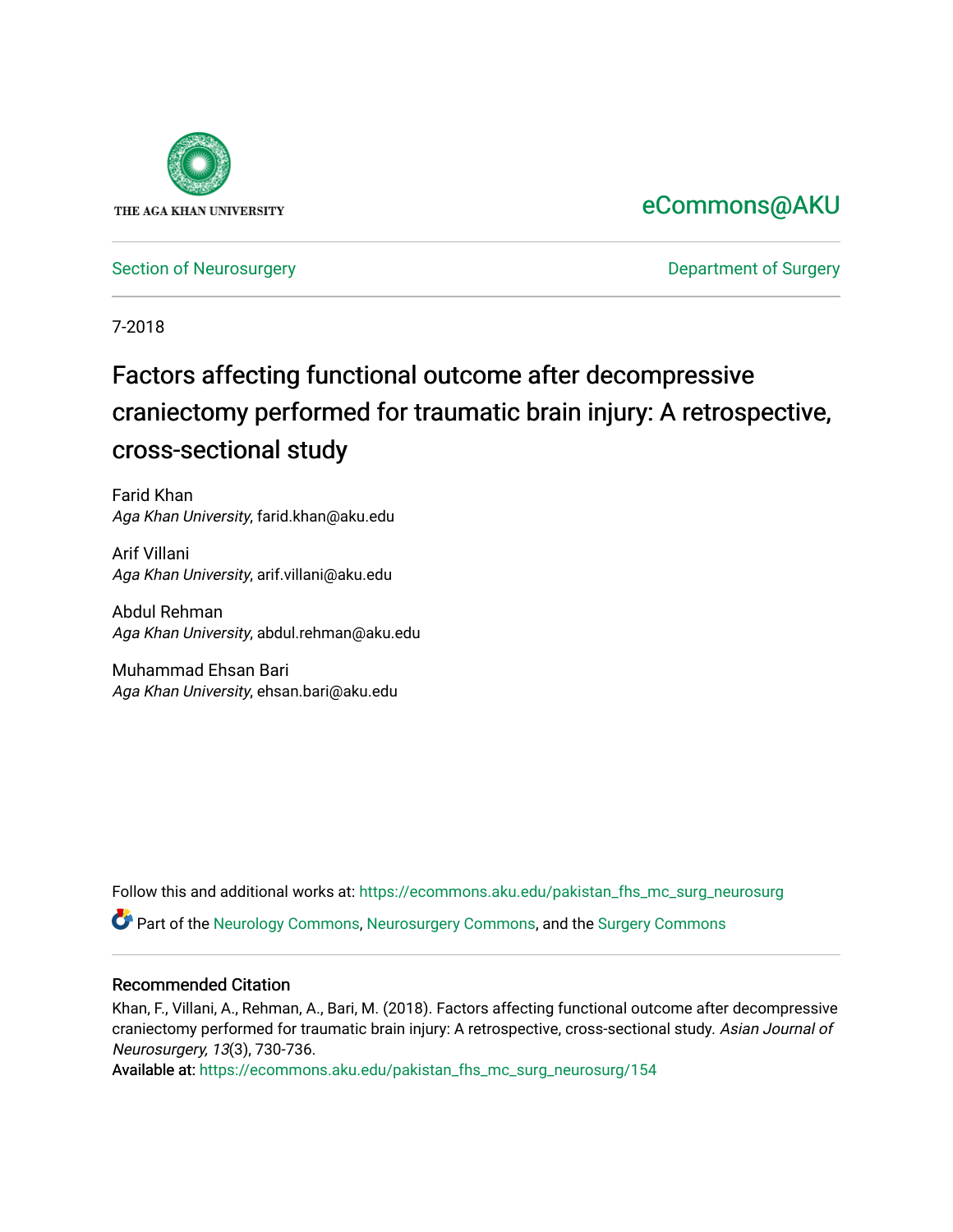

# [eCommons@AKU](https://ecommons.aku.edu/)

[Section of Neurosurgery](https://ecommons.aku.edu/pakistan_fhs_mc_surg_neurosurg) **Department of Surgery** Department of Surgery

7-2018

# Factors affecting functional outcome after decompressive craniectomy performed for traumatic brain injury: A retrospective, cross-sectional study

Farid Khan Aga Khan University, farid.khan@aku.edu

Arif Villani Aga Khan University, arif.villani@aku.edu

Abdul Rehman Aga Khan University, abdul.rehman@aku.edu

Muhammad Ehsan Bari Aga Khan University, ehsan.bari@aku.edu

Follow this and additional works at: [https://ecommons.aku.edu/pakistan\\_fhs\\_mc\\_surg\\_neurosurg](https://ecommons.aku.edu/pakistan_fhs_mc_surg_neurosurg?utm_source=ecommons.aku.edu%2Fpakistan_fhs_mc_surg_neurosurg%2F154&utm_medium=PDF&utm_campaign=PDFCoverPages) 

Part of the [Neurology Commons](http://network.bepress.com/hgg/discipline/692?utm_source=ecommons.aku.edu%2Fpakistan_fhs_mc_surg_neurosurg%2F154&utm_medium=PDF&utm_campaign=PDFCoverPages), [Neurosurgery Commons](http://network.bepress.com/hgg/discipline/1428?utm_source=ecommons.aku.edu%2Fpakistan_fhs_mc_surg_neurosurg%2F154&utm_medium=PDF&utm_campaign=PDFCoverPages), and the [Surgery Commons](http://network.bepress.com/hgg/discipline/706?utm_source=ecommons.aku.edu%2Fpakistan_fhs_mc_surg_neurosurg%2F154&utm_medium=PDF&utm_campaign=PDFCoverPages) 

#### Recommended Citation

Khan, F., Villani, A., Rehman, A., Bari, M. (2018). Factors affecting functional outcome after decompressive craniectomy performed for traumatic brain injury: A retrospective, cross-sectional study. Asian Journal of Neurosurgery, 13(3), 730-736.

Available at: [https://ecommons.aku.edu/pakistan\\_fhs\\_mc\\_surg\\_neurosurg/154](https://ecommons.aku.edu/pakistan_fhs_mc_surg_neurosurg/154)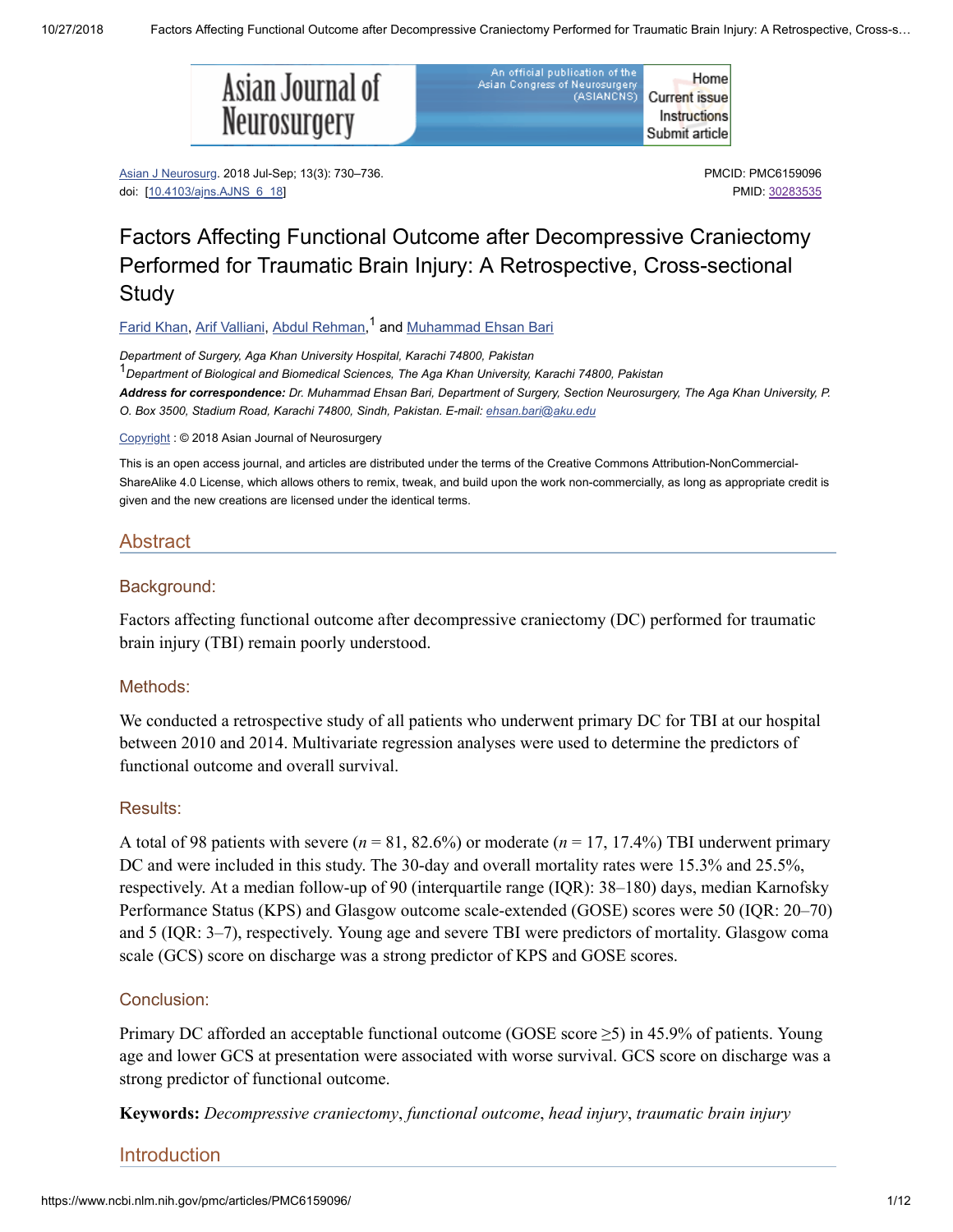.<br>Asia



| n official publication of the<br><b>Congress of Neurosurgery</b> | Home                 |
|------------------------------------------------------------------|----------------------|
| (ASIANCNS)                                                       | <b>Current issue</b> |
|                                                                  | Instructions         |
|                                                                  | Submit article       |

Asian J Neurosurg. 2018 Jul-Sep; 13(3): 730–736. doi: [[10.4103/ajns.AJNS\\_6\\_18\]](https://dx.doi.org/10.4103%2Fajns.AJNS_6_18)

PMCID: PMC6159096 PMID: [30283535](https://www.ncbi.nlm.nih.gov/pubmed/30283535)

# Factors Affecting Functional Outcome after Decompressive Craniectomy Performed for Traumatic Brain Injury: A Retrospective, Cross-sectional **Study**

<u>Farid [Khan,](https://www.ncbi.nlm.nih.gov/pubmed/?term=Khan%20F%5BAuthor%5D&cauthor=true&cauthor_uid=30283535) Arif [Valliani,](https://www.ncbi.nlm.nih.gov/pubmed/?term=Valliani%20A%5BAuthor%5D&cauthor=true&cauthor_uid=30283535) Abdul Rehman</u>,<sup>1</sup> and <u>[Muhammad](https://www.ncbi.nlm.nih.gov/pubmed/?term=Bari%20ME%5BAuthor%5D&cauthor=true&cauthor_uid=30283535) Ehsan Bari</u>

*Department of Surgery, Aga Khan University Hospital, Karachi 74800, Pakistan Department of Biological and Biomedical Sciences, The Aga Khan University, Karachi 74800, Pakistan* 1Address for correspondence: Dr. Muhammad Ehsan Bari, Department of Surgery, Section Neurosurgery, The Aga Khan University, P. *O. Box 3500, Stadium Road, Karachi 74800, Sindh, Pakistan. E-mail: [ehsan.bari@aku.edu](mailto:dev@null)*

[Copyright](https://www.ncbi.nlm.nih.gov/pmc/about/copyright/) : © 2018 Asian Journal of Neurosurgery

This is an open access journal, and articles are distributed under the terms of the Creative Commons Attribution-NonCommercial-ShareAlike 4.0 License, which allows others to remix, tweak, and build upon the work non-commercially, as long as appropriate credit is given and the new creations are licensed under the identical terms.

## Abstract

#### Background:

Factors affecting functional outcome after decompressive craniectomy (DC) performed for traumatic brain injury (TBI) remain poorly understood.

#### Methods:

We conducted a retrospective study of all patients who underwent primary DC for TBI at our hospital between 2010 and 2014. Multivariate regression analyses were used to determine the predictors of functional outcome and overall survival.

#### Results:

A total of 98 patients with severe  $(n = 81, 82.6\%)$  or moderate  $(n = 17, 17.4\%)$  TBI underwent primary DC and were included in this study. The 30-day and overall mortality rates were 15.3% and 25.5%, respectively. At a median follow-up of 90 (interquartile range (IQR): 38–180) days, median Karnofsky Performance Status (KPS) and Glasgow outcome scale-extended (GOSE) scores were 50 (IQR: 20–70) and 5 (IQR: 3–7), respectively. Young age and severe TBI were predictors of mortality. Glasgow coma scale (GCS) score on discharge was a strong predictor of KPS and GOSE scores.

#### Conclusion:

Primary DC afforded an acceptable functional outcome (GOSE score  $\geq$ 5) in 45.9% of patients. Young age and lower GCS at presentation were associated with worse survival. GCS score on discharge was a strong predictor of functional outcome.

**Keywords:** *Decompressive craniectomy*, *functional outcome*, *head injury*, *traumatic brain injury*

Introduction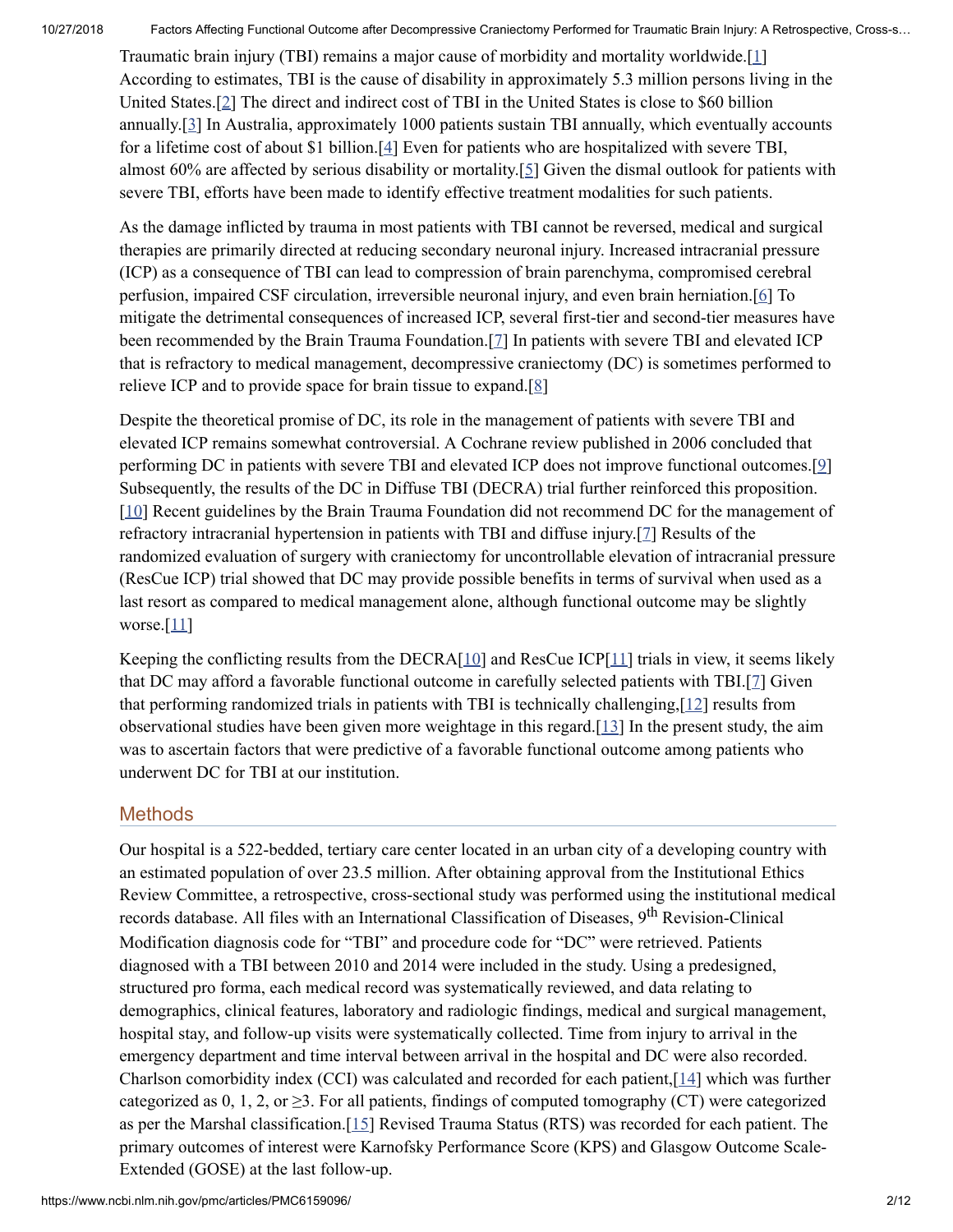Traumatic brain injury (TBI) remains a major cause of morbidity and mortality worldwide.[[1\]](#page-10-0) According to estimates, TBI is the cause of disability in approximately 5.3 million persons living in the United States.[[2](#page-10-1)] The direct and indirect cost of TBI in the United States is close to \$60 billion annually.[[3](#page-10-2)] In Australia, approximately 1000 patients sustain TBI annually, which eventually accounts for a lifetime cost of about \$1 billion.[[4](#page-10-3)] Even for patients who are hospitalized with severe TBI, almost 60% are affected by serious disability or mortality.[\[5\]](#page-10-4) Given the dismal outlook for patients with severe TBI, efforts have been made to identify effective treatment modalities for such patients.

As the damage inflicted by trauma in most patients with TBI cannot be reversed, medical and surgical therapies are primarily directed at reducing secondary neuronal injury. Increased intracranial pressure (ICP) as a consequence of TBI can lead to compression of brain parenchyma, compromised cerebral perfusion, impaired CSF circulation, irreversible neuronal injury, and even brain herniation.[[6](#page-10-5)] To mitigate the detrimental consequences of increased ICP, several first-tier and second-tier measures have been recommended by the Brain Trauma Foundation.[[7](#page-10-6)] In patients with severe TBI and elevated ICP that is refractory to medical management, decompressive craniectomy (DC) is sometimes performed to relieve ICP and to provide space for brain tissue to expand.[\[8\]](#page-10-7)

Despite the theoretical promise of DC, its role in the management of patients with severe TBI and elevated ICP remains somewhat controversial. A Cochrane review published in 2006 concluded that performing DC in patients with severe TBI and elevated ICP does not improve functional outcomes.[[9](#page-10-8)] Subsequently, the results of the DC in Diffuse TBI (DECRA) trial further reinforced this proposition. [\[10](#page-10-9)] Recent guidelines by the Brain Trauma Foundation did not recommend DC for the management of refractory intracranial hypertension in patients with TBI and diffuse injury.[[7](#page-10-6)] Results of the randomized evaluation of surgery with craniectomy for uncontrollable elevation of intracranial pressure (ResCue ICP) trial showed that DC may provide possible benefits in terms of survival when used as a last resort as compared to medical management alone, although functional outcome may be slightly worse.[\[11\]](#page-10-10)

Keeping the conflicting results from the DECRA $[10]$  $[10]$  and ResCue ICP $[11]$  $[11]$  $[11]$  trials in view, it seems likely that DC may afford a favorable functional outcome in carefully selected patients with TBI.[\[7\]](#page-10-6) Given that performing randomized trials in patients with TBI is technically challenging,[\[12](#page-10-11)] results from observational studies have been given more weightage in this regard. $[13]$  $[13]$  In the present study, the aim was to ascertain factors that were predictive of a favorable functional outcome among patients who underwent DC for TBI at our institution.

# **Methods**

Our hospital is a 522-bedded, tertiary care center located in an urban city of a developing country with an estimated population of over 23.5 million. After obtaining approval from the Institutional Ethics Review Committee, a retrospective, cross-sectional study was performed using the institutional medical records database. All files with an International Classification of Diseases, 9<sup>th</sup> Revision-Clinical Modification diagnosis code for "TBI" and procedure code for "DC" were retrieved. Patients diagnosed with a TBI between 2010 and 2014 were included in the study. Using a predesigned, structured pro forma, each medical record was systematically reviewed, and data relating to demographics, clinical features, laboratory and radiologic findings, medical and surgical management, hospital stay, and follow-up visits were systematically collected. Time from injury to arrival in the emergency department and time interval between arrival in the hospital and DC were also recorded. Charlson comorbidity index (CCI) was calculated and recorded for each patient,[\[14](#page-10-13)] which was further categorized as 0, 1, 2, or  $\geq$ 3. For all patients, findings of computed tomography (CT) were categorized as per the Marshal classification.[\[15](#page-11-0)] Revised Trauma Status (RTS) was recorded for each patient. The primary outcomes of interest were Karnofsky Performance Score (KPS) and Glasgow Outcome Scale-Extended (GOSE) at the last follow-up.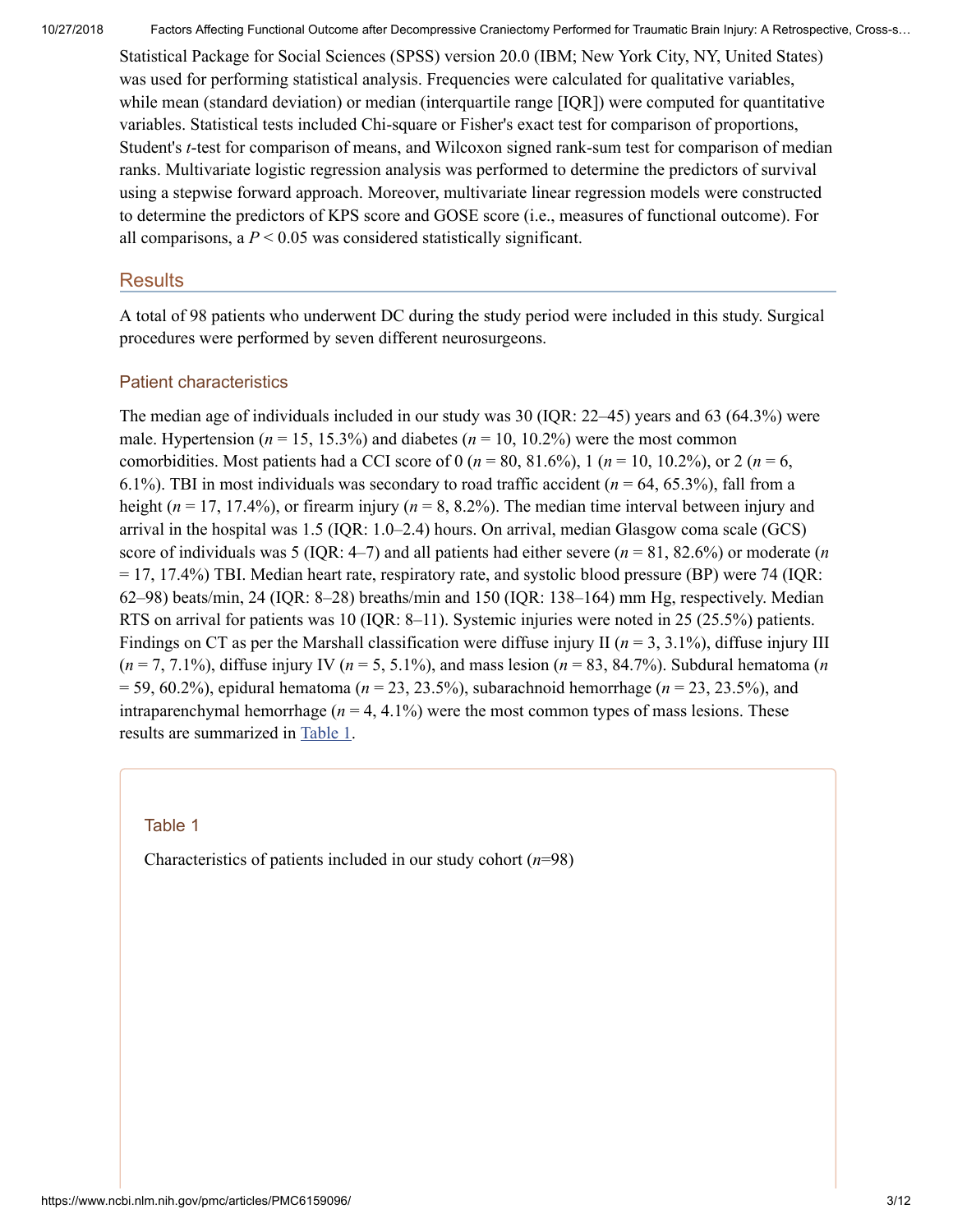Statistical Package for Social Sciences (SPSS) version 20.0 (IBM; New York City, NY, United States) was used for performing statistical analysis. Frequencies were calculated for qualitative variables, while mean (standard deviation) or median (interquartile range [IQR]) were computed for quantitative variables. Statistical tests included Chi-square or Fisher's exact test for comparison of proportions, Student's *t*-test for comparison of means, and Wilcoxon signed rank-sum test for comparison of median ranks. Multivariate logistic regression analysis was performed to determine the predictors of survival using a stepwise forward approach. Moreover, multivariate linear regression models were constructed to determine the predictors of KPS score and GOSE score (i.e., measures of functional outcome). For all comparisons, a  $P < 0.05$  was considered statistically significant.

#### **Results**

A total of 98 patients who underwent DC during the study period were included in this study. Surgical procedures were performed by seven different neurosurgeons.

#### Patient characteristics

The median age of individuals included in our study was 30 (IQR: 22–45) years and 63 (64.3%) were male. Hypertension ( $n = 15, 15.3\%$ ) and diabetes ( $n = 10, 10.2\%$ ) were the most common comorbidities. Most patients had a CCI score of 0 ( $n = 80, 81.6\%$ ), 1 ( $n = 10, 10.2\%$ ), or 2 ( $n = 6$ , 6.1%). TBI in most individuals was secondary to road traffic accident (*n* = 64, 65.3%), fall from a height ( $n = 17, 17.4\%$ ), or firearm injury ( $n = 8, 8.2\%$ ). The median time interval between injury and arrival in the hospital was 1.5 (IQR: 1.0–2.4) hours. On arrival, median Glasgow coma scale (GCS) score of individuals was 5 (IQR: 4–7) and all patients had either severe (*n* = 81, 82.6%) or moderate (*n* = 17, 17.4%) TBI. Median heart rate, respiratory rate, and systolic blood pressure (BP) were 74 (IQR: 62–98) beats/min, 24 (IQR: 8–28) breaths/min and 150 (IQR: 138–164) mm Hg, respectively. Median RTS on arrival for patients was 10 (IQR: 8–11). Systemic injuries were noted in 25 (25.5%) patients. Findings on CT as per the Marshall classification were diffuse injury II ( $n = 3, 3.1\%$ ), diffuse injury III  $(n = 7, 7.1\%)$ , diffuse injury IV ( $n = 5, 5.1\%$ ), and mass lesion ( $n = 83, 84.7\%$ ). Subdural hematoma (*n*) = 59, 60.2%), epidural hematoma (*n* = 23, 23.5%), subarachnoid hemorrhage (*n* = 23, 23.5%), and intraparenchymal hemorrhage  $(n = 4, 4.1\%)$  were the most common types of mass lesions. These results are summarized in [Table](https://www.ncbi.nlm.nih.gov/pmc/articles/PMC6159096/table/T1/) 1.

#### Table 1

Characteristics of patients included in our study cohort (*n*=98)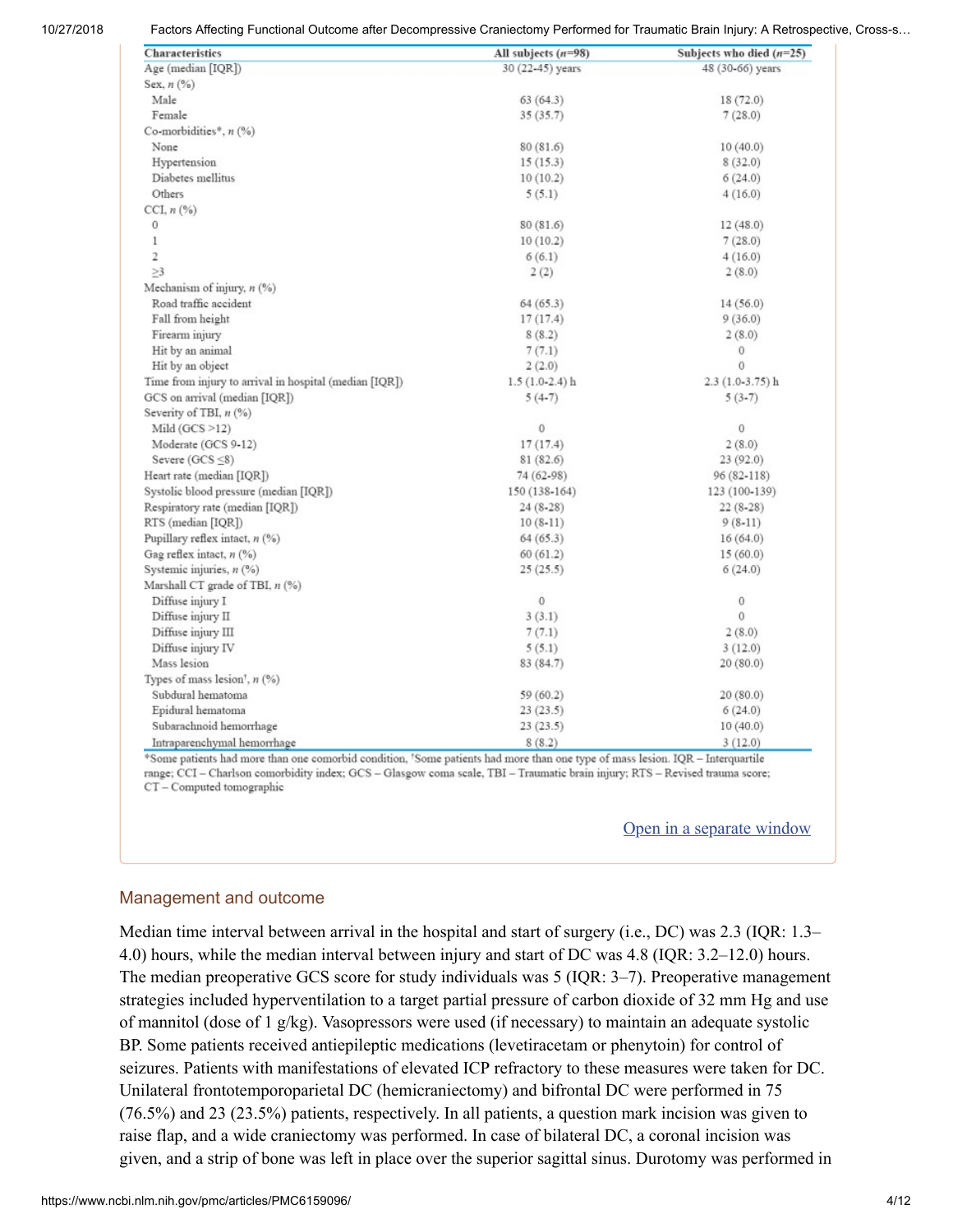| Characteristics                                        | All subjects $(n=98)$ | Subjects who died $(n=25)$ |
|--------------------------------------------------------|-----------------------|----------------------------|
| Age (median [IQR])                                     | 30 (22-45) years      | 48 (30-66) years           |
| Sex, $n$ $(\%)$                                        |                       |                            |
| Male                                                   | 63(64.3)              | 18 (72.0)                  |
| Female                                                 | 35(35.7)              | 7(28.0)                    |
| Co-morbidities*, $n$ (%)                               |                       |                            |
| None                                                   | 80(81.6)              | 10(40.0)                   |
| Hypertension                                           | 15(15.3)              | 8(32.0)                    |
| Diabetes mellitus                                      | 10(10.2)              | 6(24.0)                    |
| Others                                                 | 5(5.1)                | 4(16.0)                    |
| CCI, $n$ (%)                                           |                       |                            |
| $\mathbf 0$                                            | 80 (81.6)             | 12(48.0)                   |
| $\mathbf{1}$                                           | 10(10.2)              | 7(28.0)                    |
| $\overline{2}$                                         | 6(6.1)                | 4(16.0)                    |
| $\geq$ 3                                               | 2(2)                  | 2(8.0)                     |
| Mechanism of injury, $n$ (%)                           |                       |                            |
| Road traffic accident                                  | 64(65.3)              | 14(56.0)                   |
| Fall from height                                       | 17(17.4)              | 9(36.0)                    |
| Firearm injury                                         | 8(8.2)                | 2(8.0)                     |
| Hit by an animal                                       | 7(7.1)                | 0                          |
| Hit by an object                                       | 2(2.0)                | $\mathbf 0$                |
| Time from injury to arrival in hospital (median [IQR]) | $1.5(1.0-2.4)$ h      | $2.3(1.0-3.75)$ h          |
| GCS on arrival (median [IQR])                          | $5(4-7)$              | $5(3-7)$                   |
| Severity of TBI, $n$ (%)                               |                       |                            |
| Mild $(GCS > 12)$                                      | $\mathbf 0$           | 0                          |
| Moderate (GCS 9-12)                                    | 17(17.4)              | 2(8.0)                     |
| Severe $(GCS \leq 8)$                                  | 81 (82.6)             | 23(92.0)                   |
| Heart rate (median [IQR])                              | 74 (62-98)            | 96 (82-118)                |
| Systolic blood pressure (median [IQR])                 | 150 (138-164)         | 123 (100-139)              |
| Respiratory rate (median [IQR])                        | $24(8-28)$            | $22(8-28)$                 |
| RTS (median [IQR])                                     | $10(8-11)$            | $9(8-11)$                  |
| Pupillary reflex intact, $n$ (%)                       | 64(65.3)              | 16(64.0)                   |
| Gag reflex intact, $n$ (%)                             | 60(61.2)              | 15(60.0)                   |
| Systemic injuries, $n$ (%)                             | 25(25.5)              | 6(24.0)                    |
| Marshall CT grade of TBI, n (%)                        |                       |                            |
| Diffuse injury I                                       | 0                     | 0                          |
| Diffuse injury II                                      | 3(3.1)                | $\mathbf{0}$               |
| Diffuse injury III                                     | 7(7.1)                | 2(8.0)                     |
| Diffuse injury IV                                      | 5(5.1)                | 3(12.0)                    |
| Mass lesion                                            | 83 (84.7)             | 20(80.0)                   |
| Types of mass lesion', $n$ (%)                         |                       |                            |
| Subdural hematoma                                      | 59 (60.2)             | 20(80.0)                   |
| Epidural hematoma                                      | 23(23.5)              | 6(24.0)                    |
| Subarachnoid hemorrhage                                | 23(23.5)              | 10(40.0)                   |
| Intraparenchymal hemorrhage                            | 8(8.2)                | 3(12.0)                    |

Some patients had more than one comorbid condition, 'Some patients had more than one type of mass lesion. IQR - Interquartile range; CCI - Charlson comorbidity index; GCS - Glasgow coma scale, TBI - Traumatic brain injury; RTS - Revised trauma score; CT - Computed tomographic

#### Open in a [separate](https://www.ncbi.nlm.nih.gov/pmc/articles/PMC6159096/table/T1/?report=objectonly) window

#### Management and outcome

Median time interval between arrival in the hospital and start of surgery (i.e., DC) was 2.3 (IQR: 1.3– 4.0) hours, while the median interval between injury and start of DC was 4.8 (IQR: 3.2–12.0) hours. The median preoperative GCS score for study individuals was 5 (IQR: 3–7). Preoperative management strategies included hyperventilation to a target partial pressure of carbon dioxide of 32 mm Hg and use of mannitol (dose of 1 g/kg). Vasopressors were used (if necessary) to maintain an adequate systolic BP. Some patients received antiepileptic medications (levetiracetam or phenytoin) for control of seizures. Patients with manifestations of elevated ICP refractory to these measures were taken for DC. Unilateral frontotemporoparietal DC (hemicraniectomy) and bifrontal DC were performed in 75 (76.5%) and 23 (23.5%) patients, respectively. In all patients, a question mark incision was given to raise flap, and a wide craniectomy was performed. In case of bilateral DC, a coronal incision was given, and a strip of bone was left in place over the superior sagittal sinus. Durotomy was performed in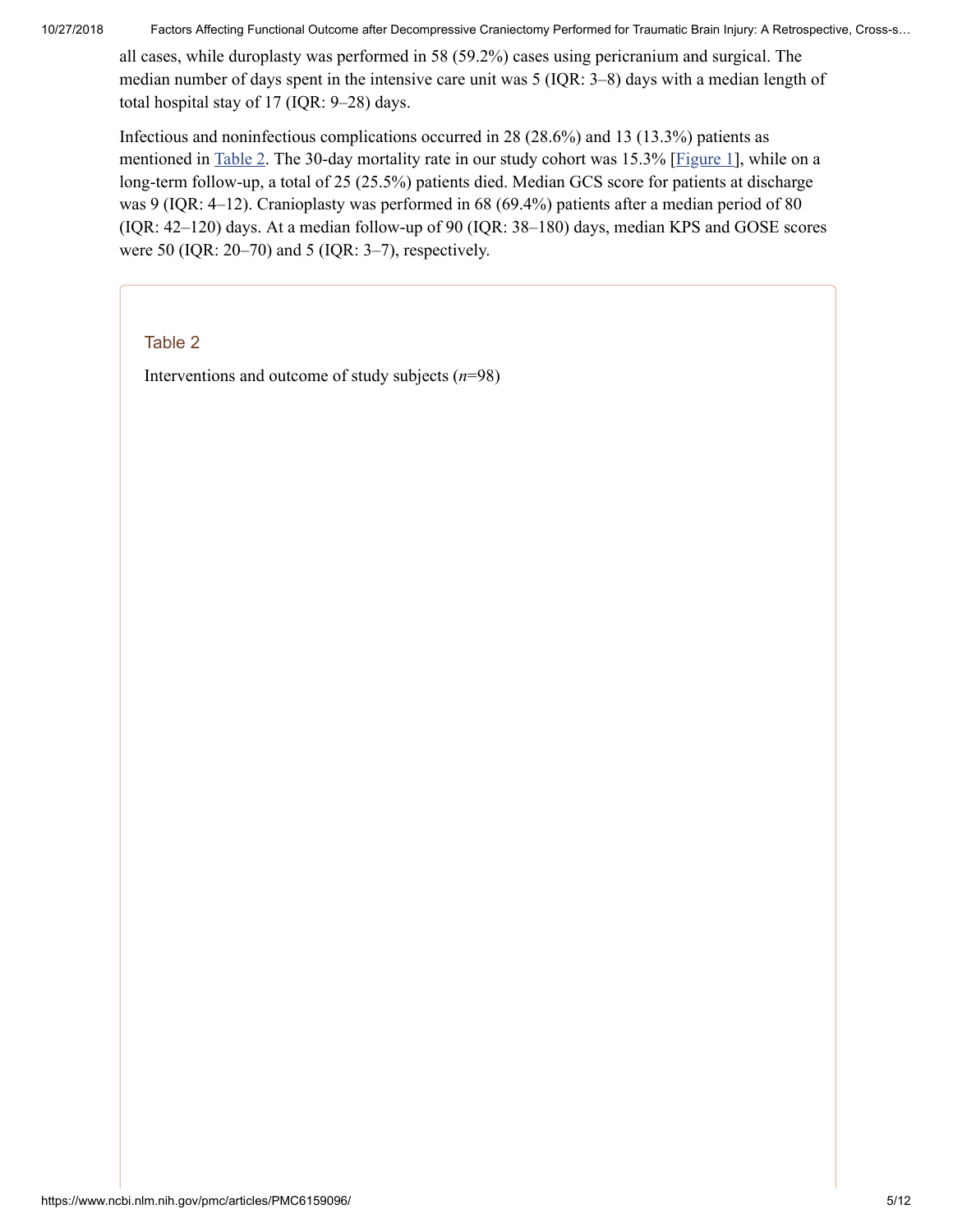all cases, while duroplasty was performed in 58 (59.2%) cases using pericranium and surgical. The median number of days spent in the intensive care unit was 5 (IQR: 3–8) days with a median length of total hospital stay of 17 (IQR: 9–28) days.

Infectious and noninfectious complications occurred in 28 (28.6%) and 13 (13.3%) patients as mentioned in [Table](https://www.ncbi.nlm.nih.gov/pmc/articles/PMC6159096/table/T2/) 2. The 30-day mortality rate in our study cohort was 15.3% [[Figure](https://www.ncbi.nlm.nih.gov/pmc/articles/PMC6159096/figure/F1/) 1], while on a long-term follow-up, a total of 25 (25.5%) patients died. Median GCS score for patients at discharge was 9 (IQR: 4–12). Cranioplasty was performed in 68 (69.4%) patients after a median period of 80 (IQR: 42–120) days. At a median follow-up of 90 (IQR: 38–180) days, median KPS and GOSE scores were 50 (IQR: 20–70) and 5 (IQR: 3–7), respectively.

Table 2

Interventions and outcome of study subjects (*n*=98)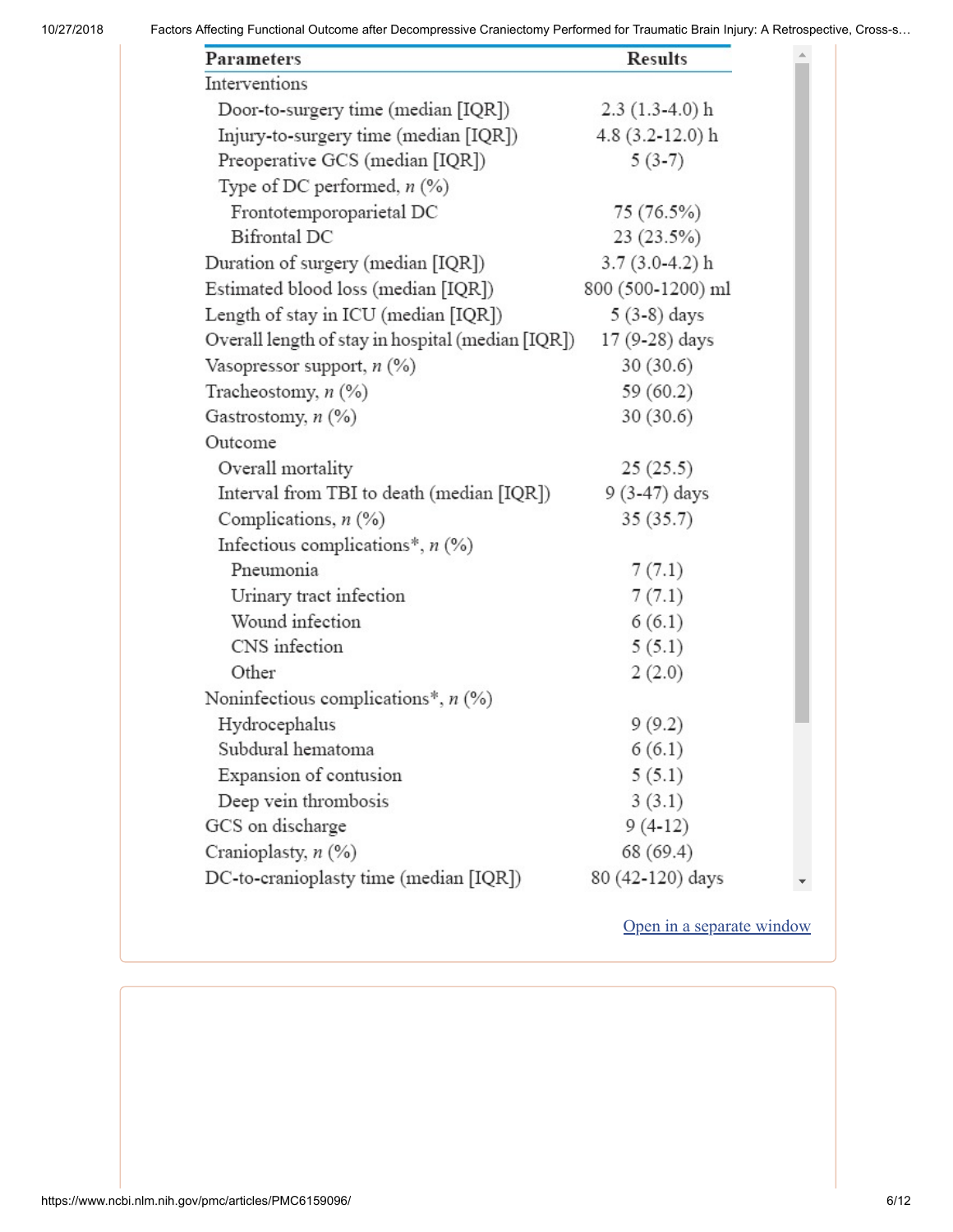| <b>Parameters</b>                                 | <b>Results</b>     |
|---------------------------------------------------|--------------------|
| Interventions                                     |                    |
| Door-to-surgery time (median [IQR])               | $2.3(1.3-4.0)$ h   |
| Injury-to-surgery time (median [IQR])             | $4.8$ (3.2-12.0) h |
| Preoperative GCS (median [IQR])                   | $5(3-7)$           |
| Type of DC performed, $n$ (%)                     |                    |
| Frontotemporoparietal DC                          | 75 (76.5%)         |
| <b>Bifrontal DC</b>                               | 23 (23.5%)         |
| Duration of surgery (median [IQR])                | $3.7(3.0-4.2)$ h   |
| Estimated blood loss (median [IQR])               | 800 (500-1200) ml  |
| Length of stay in ICU (median [IQR])              | $5(3-8)$ days      |
| Overall length of stay in hospital (median [IQR]) | 17 (9-28) days     |
| Vasopressor support, $n$ (%)                      | 30(30.6)           |
| Tracheostomy, $n$ (%)                             | 59(60.2)           |
| Gastrostomy, $n$ $(\%)$                           | 30(30.6)           |
| Outcome                                           |                    |
| Overall mortality                                 | 25(25.5)           |
| Interval from TBI to death (median [IQR])         | 9 (3-47) days      |
| Complications, $n$ (%)                            | 35(35.7)           |
| Infectious complications <sup>*</sup> , $n$ (%)   |                    |
| Pneumonia                                         | 7(7.1)             |
| Urinary tract infection                           | 7(7.1)             |
| Wound infection                                   | 6(6.1)             |
| CNS infection                                     | 5(5.1)             |
| Other                                             | 2(2.0)             |
| Noninfectious complications*, $n$ (%)             |                    |
| Hydrocephalus                                     | 9(9.2)             |
| Subdural hematoma                                 | 6(6.1)             |
| Expansion of contusion                            | 5(5.1)             |
| Deep vein thrombosis                              | 3(3.1)             |
| GCS on discharge                                  | $9(4-12)$          |
| Cranioplasty, n (%)                               | 68 (69.4)          |
| DC-to-cranioplasty time (median [IQR])            | 80 (42-120) days   |

Open in a [separate](https://www.ncbi.nlm.nih.gov/pmc/articles/PMC6159096/table/T2/?report=objectonly) window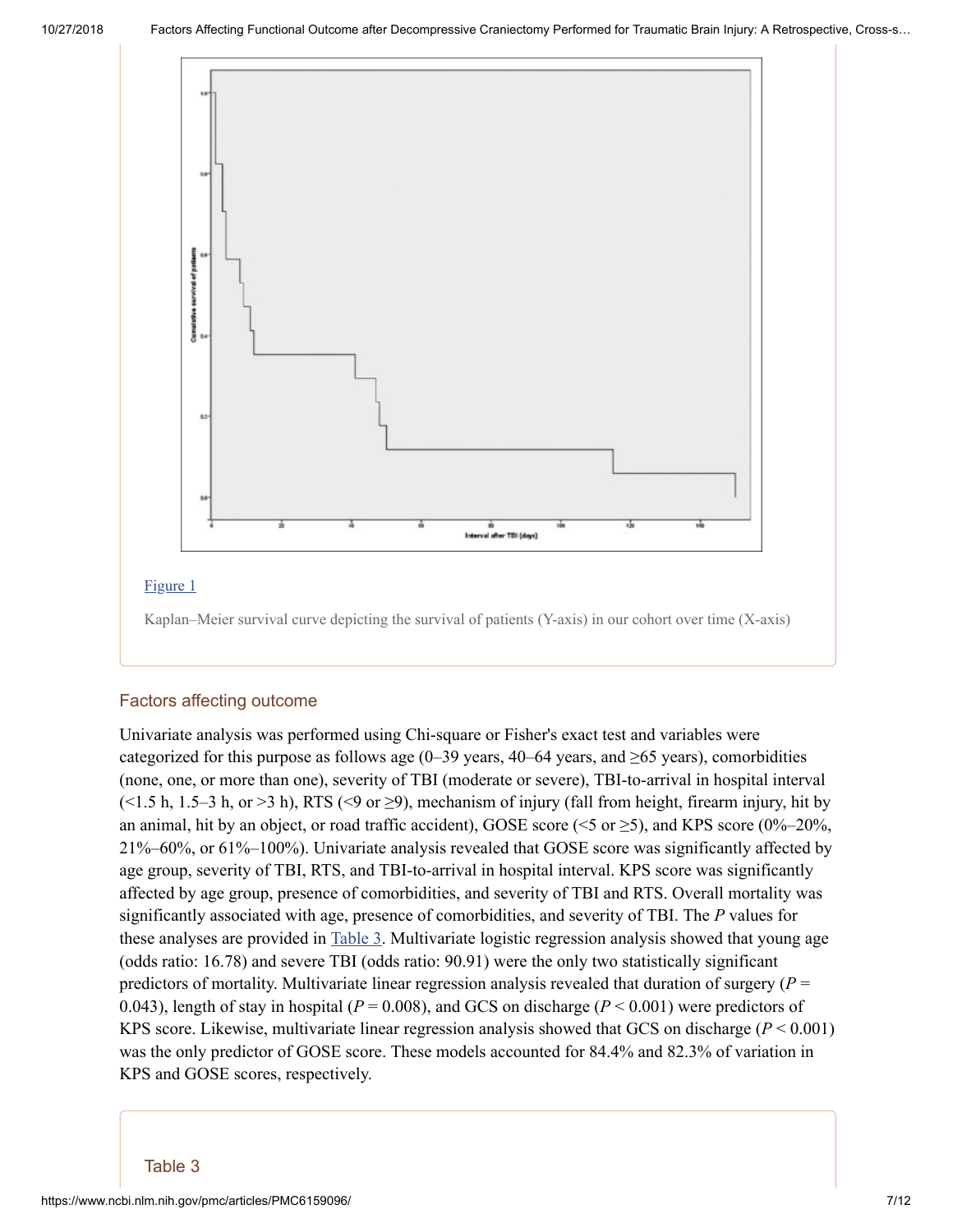

#### [Figure](https://www.ncbi.nlm.nih.gov/pmc/articles/PMC6159096/figure/F1/) 1

Kaplan–Meier survival curve depicting the survival of patients (Y-axis) in our cohort over time (X-axis)

#### Factors affecting outcome

Univariate analysis was performed using Chi-square or Fisher's exact test and variables were categorized for this purpose as follows age (0–39 years, 40–64 years, and  $\geq 65$  years), comorbidities (none, one, or more than one), severity of TBI (moderate or severe), TBI-to-arrival in hospital interval  $(\leq 1.5 \text{ h}, 1.5-3 \text{ h}, \text{or } \geq 3 \text{ h})$ , RTS  $(\leq 9 \text{ or } \geq 9)$ , mechanism of injury (fall from height, firearm injury, hit by an animal, hit by an object, or road traffic accident), GOSE score ( $\le$ 5 or  $\ge$ 5), and KPS score (0%–20%, 21%–60%, or 61%–100%). Univariate analysis revealed that GOSE score was significantly affected by age group, severity of TBI, RTS, and TBI-to-arrival in hospital interval. KPS score was significantly affected by age group, presence of comorbidities, and severity of TBI and RTS. Overall mortality was significantly associated with age, presence of comorbidities, and severity of TBI. The *P* values for these analyses are provided in [Table](https://www.ncbi.nlm.nih.gov/pmc/articles/PMC6159096/table/T3/) 3. Multivariate logistic regression analysis showed that young age (odds ratio: 16.78) and severe TBI (odds ratio: 90.91) were the only two statistically significant predictors of mortality. Multivariate linear regression analysis revealed that duration of surgery  $(P =$ 0.043), length of stay in hospital (*P* = 0.008), and GCS on discharge (*P* < 0.001) were predictors of KPS score. Likewise, multivariate linear regression analysis showed that GCS on discharge (*P* < 0.001) was the only predictor of GOSE score. These models accounted for 84.4% and 82.3% of variation in KPS and GOSE scores, respectively.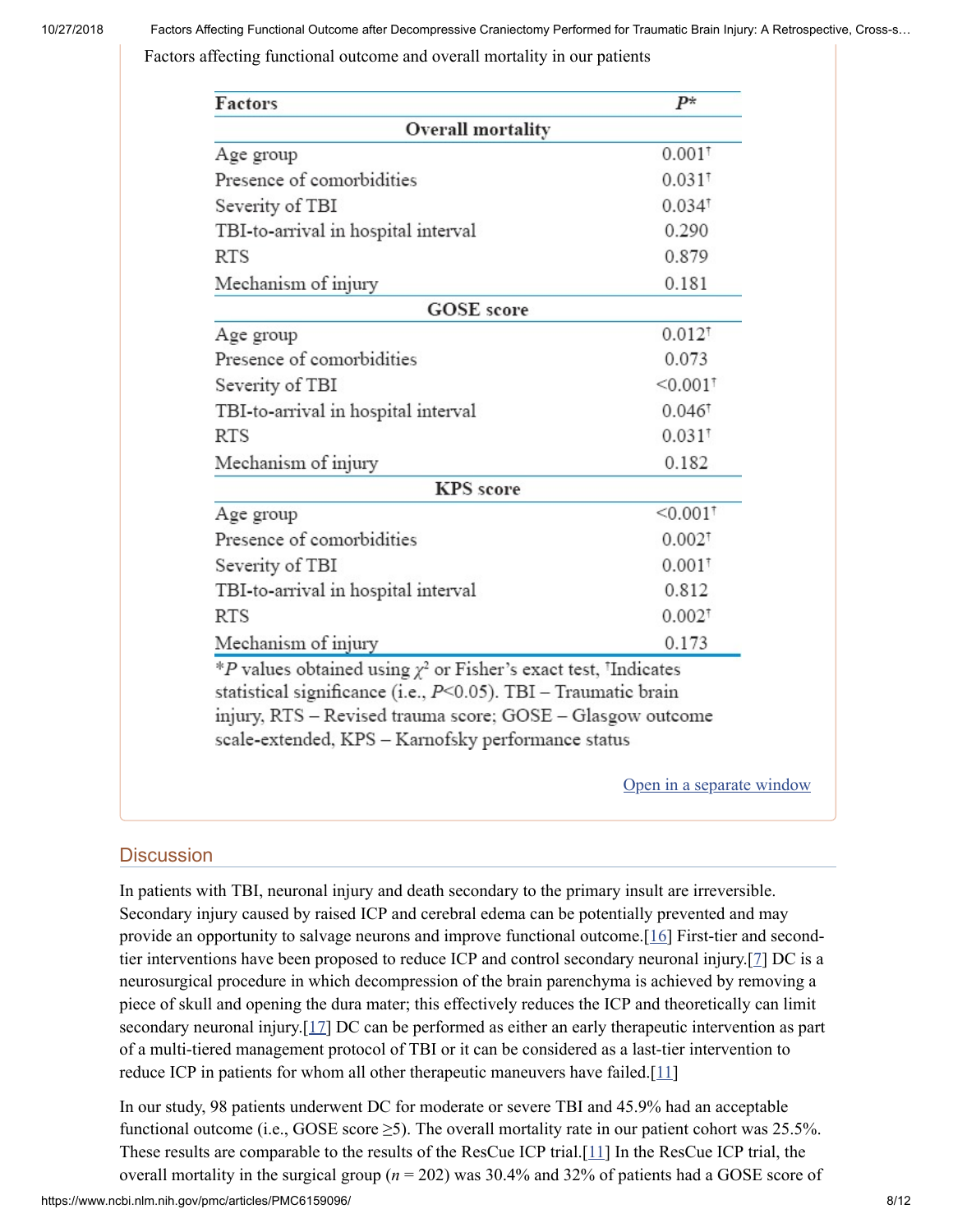Factors affecting functional outcome and overall mortality in our patients

| Overall mortality<br>Age group                                        |                        |
|-----------------------------------------------------------------------|------------------------|
|                                                                       |                        |
|                                                                       | $0.001^{\dagger}$      |
| Presence of comorbidities                                             | $0.031$ <sup>t</sup>   |
| Severity of TBI                                                       | $0.034^{\dagger}$      |
| TBI-to-arrival in hospital interval                                   | 0.290                  |
| <b>RTS</b>                                                            | 0.879                  |
| Mechanism of injury                                                   | 0.181                  |
| <b>GOSE</b> score                                                     |                        |
| Age group                                                             | $0.012^{\dagger}$      |
| Presence of comorbidities                                             | 0.073                  |
| Severity of TBI                                                       | $< 0.001$ <sup>t</sup> |
| TBI-to-arrival in hospital interval                                   | $0.046^{\dagger}$      |
| <b>RTS</b>                                                            | $0.031$ <sup>t</sup>   |
| Mechanism of injury                                                   | 0.182                  |
| <b>KPS</b> score                                                      |                        |
| Age group                                                             | $< 0.001$ <sup>T</sup> |
| Presence of comorbidities                                             | $0.002^{\dagger}$      |
| Severity of TBI                                                       | $0.001^{\dagger}$      |
| TBI-to-arrival in hospital interval                                   | 0.812                  |
| <b>RTS</b>                                                            | $0.002^{\dagger}$      |
| Mechanism of injury                                                   | 0.173                  |
| *P values obtained using $\chi^2$ or Fisher's exact test, 'Indicates' |                        |
| statistical significance (i.e., $P<0.05$ ). TBI - Traumatic brain     |                        |
| injury, RTS - Revised trauma score; GOSE - Glasgow outcome            |                        |
| scale-extended, KPS - Karnofsky performance status                    |                        |

#### **Discussion**

In patients with TBI, neuronal injury and death secondary to the primary insult are irreversible. Secondary injury caused by raised ICP and cerebral edema can be potentially prevented and may provide an opportunity to salvage neurons and improve functional outcome.[[16\]](#page-11-1) First-tier and secondtier interventions have been proposed to reduce ICP and control secondary neuronal injury.[\[7\]](#page-10-6) DC is a neurosurgical procedure in which decompression of the brain parenchyma is achieved by removing a piece of skull and opening the dura mater; this effectively reduces the ICP and theoretically can limit secondary neuronal injury.[\[17](#page-11-2)] DC can be performed as either an early therapeutic intervention as part of a multi-tiered management protocol of TBI or it can be considered as a last-tier intervention to reduce ICP in patients for whom all other therapeutic maneuvers have failed.[[11](#page-10-10)]

In our study, 98 patients underwent DC for moderate or severe TBI and 45.9% had an acceptable functional outcome (i.e., GOSE score  $\geq$ 5). The overall mortality rate in our patient cohort was 25.5%. These results are comparable to the results of the ResCue ICP trial.[[11](#page-10-10)] In the ResCue ICP trial, the overall mortality in the surgical group  $(n = 202)$  was 30.4% and 32% of patients had a GOSE score of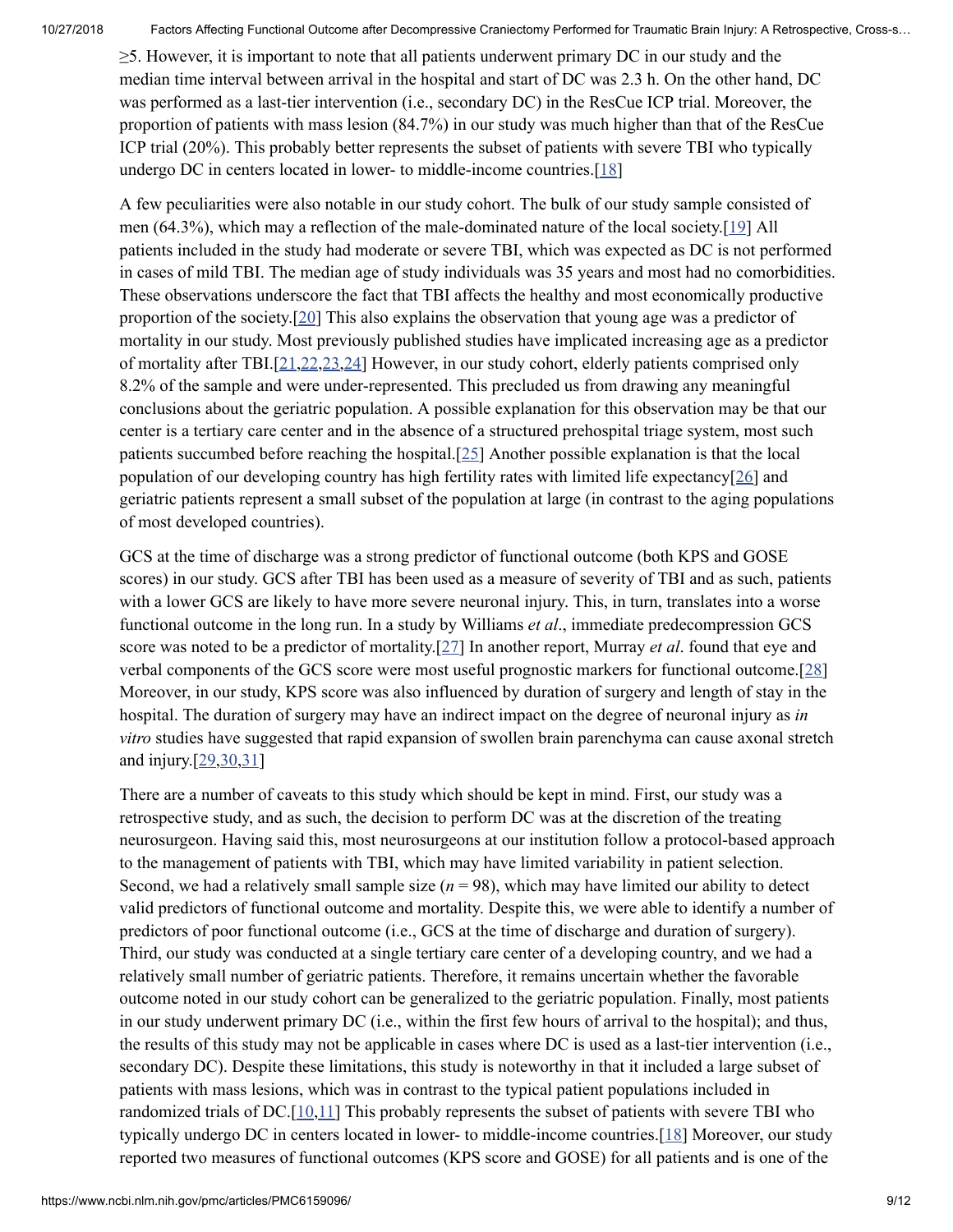≥5. However, it is important to note that all patients underwent primary DC in our study and the median time interval between arrival in the hospital and start of DC was 2.3 h. On the other hand, DC was performed as a last-tier intervention (i.e., secondary DC) in the ResCue ICP trial. Moreover, the proportion of patients with mass lesion (84.7%) in our study was much higher than that of the ResCue ICP trial (20%). This probably better represents the subset of patients with severe TBI who typically undergo DC in centers located in lower- to middle-income countries.[[18\]](#page-11-3)

A few peculiarities were also notable in our study cohort. The bulk of our study sample consisted of men (64.3%), which may a reflection of the male-dominated nature of the local society.[\[19](#page-11-4)] All patients included in the study had moderate or severe TBI, which was expected as DC is not performed in cases of mild TBI. The median age of study individuals was 35 years and most had no comorbidities. These observations underscore the fact that TBI affects the healthy and most economically productive proportion of the society.[[20\]](#page-11-5) This also explains the observation that young age was a predictor of mortality in our study. Most previously published studies have implicated increasing age as a predictor of mortality after TBI.[[21](#page-11-6)[,22,](#page-11-7)[23](#page-11-8)[,24](#page-11-9)] However, in our study cohort, elderly patients comprised only 8.2% of the sample and were under-represented. This precluded us from drawing any meaningful conclusions about the geriatric population. A possible explanation for this observation may be that our center is a tertiary care center and in the absence of a structured prehospital triage system, most such patients succumbed before reaching the hospital.[[25\]](#page-11-10) Another possible explanation is that the local population of our developing country has high fertility rates with limited life expectancy $[26]$  $[26]$  and geriatric patients represent a small subset of the population at large (in contrast to the aging populations of most developed countries).

GCS at the time of discharge was a strong predictor of functional outcome (both KPS and GOSE scores) in our study. GCS after TBI has been used as a measure of severity of TBI and as such, patients with a lower GCS are likely to have more severe neuronal injury. This, in turn, translates into a worse functional outcome in the long run. In a study by Williams *et al*., immediate predecompression GCS score was noted to be a predictor of mortality.[[27](#page-11-12)] In another report, Murray *et al*. found that eye and verbal components of the GCS score were most useful prognostic markers for functional outcome.[\[28](#page-11-13)] Moreover, in our study, KPS score was also influenced by duration of surgery and length of stay in the hospital. The duration of surgery may have an indirect impact on the degree of neuronal injury as *in vitro* studies have suggested that rapid expansion of swollen brain parenchyma can cause axonal stretch and injury.[[29](#page-11-14)[,30](#page-11-15)[,31](#page-12-0)]

There are a number of caveats to this study which should be kept in mind. First, our study was a retrospective study, and as such, the decision to perform DC was at the discretion of the treating neurosurgeon. Having said this, most neurosurgeons at our institution follow a protocol-based approach to the management of patients with TBI, which may have limited variability in patient selection. Second, we had a relatively small sample size  $(n = 98)$ , which may have limited our ability to detect valid predictors of functional outcome and mortality. Despite this, we were able to identify a number of predictors of poor functional outcome (i.e., GCS at the time of discharge and duration of surgery). Third, our study was conducted at a single tertiary care center of a developing country, and we had a relatively small number of geriatric patients. Therefore, it remains uncertain whether the favorable outcome noted in our study cohort can be generalized to the geriatric population. Finally, most patients in our study underwent primary DC (i.e., within the first few hours of arrival to the hospital); and thus, the results of this study may not be applicable in cases where DC is used as a last-tier intervention (i.e., secondary DC). Despite these limitations, this study is noteworthy in that it included a large subset of patients with mass lesions, which was in contrast to the typical patient populations included in randomized trials of DC. $[10,11]$  $[10,11]$  $[10,11]$  $[10,11]$  This probably represents the subset of patients with severe TBI who typically undergo DC in centers located in lower- to middle-income countries.[\[18](#page-11-3)] Moreover, our study reported two measures of functional outcomes (KPS score and GOSE) for all patients and is one of the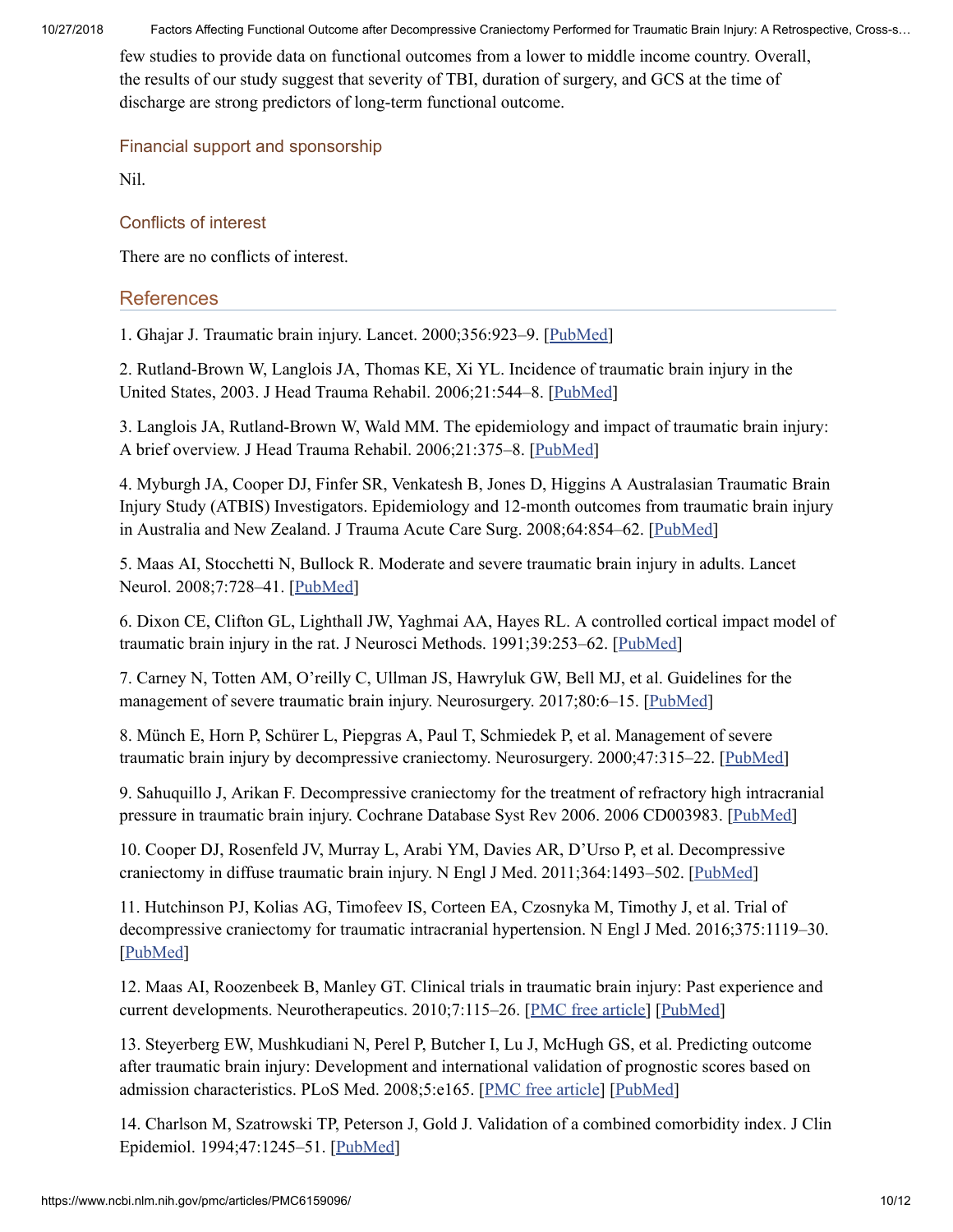few studies to provide data on functional outcomes from a lower to middle income country. Overall, the results of our study suggest that severity of TBI, duration of surgery, and GCS at the time of discharge are strong predictors of long-term functional outcome.

## Financial support and sponsorship

Nil.

## Conflicts of interest

There are no conflicts of interest.

# References

<span id="page-10-0"></span>1. Ghajar J. Traumatic brain injury. Lancet. 2000;356:923–9. [\[PubMed](https://www.ncbi.nlm.nih.gov/pubmed/11036909)]

<span id="page-10-1"></span>2. Rutland-Brown W, Langlois JA, Thomas KE, Xi YL. Incidence of traumatic brain injury in the United States, 2003. J Head Trauma Rehabil. 2006;21:544–8. [\[PubMed\]](https://www.ncbi.nlm.nih.gov/pubmed/17122685)

<span id="page-10-2"></span>3. Langlois JA, Rutland-Brown W, Wald MM. The epidemiology and impact of traumatic brain injury: A brief overview. J Head Trauma Rehabil. 2006;21:375–8. [[PubMed](https://www.ncbi.nlm.nih.gov/pubmed/16983222)]

<span id="page-10-3"></span>4. Myburgh JA, Cooper DJ, Finfer SR, Venkatesh B, Jones D, Higgins A Australasian Traumatic Brain Injury Study (ATBIS) Investigators. Epidemiology and 12-month outcomes from traumatic brain injury in Australia and New Zealand. J Trauma Acute Care Surg. 2008;64:854–62. [\[PubMed](https://www.ncbi.nlm.nih.gov/pubmed/18404048)]

<span id="page-10-4"></span>5. Maas AI, Stocchetti N, Bullock R. Moderate and severe traumatic brain injury in adults. Lancet Neurol. 2008;7:728–41. [\[PubMed](https://www.ncbi.nlm.nih.gov/pubmed/18635021)]

<span id="page-10-5"></span>6. Dixon CE, Clifton GL, Lighthall JW, Yaghmai AA, Hayes RL. A controlled cortical impact model of traumatic brain injury in the rat. J Neurosci Methods. 1991;39:253–62. [\[PubMed\]](https://www.ncbi.nlm.nih.gov/pubmed/1787745)

<span id="page-10-6"></span>7. Carney N, Totten AM, O'reilly C, Ullman JS, Hawryluk GW, Bell MJ, et al. Guidelines for the management of severe traumatic brain injury. Neurosurgery. 2017;80:6-15. [[PubMed\]](https://www.ncbi.nlm.nih.gov/pubmed/27654000)

<span id="page-10-7"></span>8. Münch E, Horn P, Schürer L, Piepgras A, Paul T, Schmiedek P, et al. Management of severe traumatic brain injury by decompressive craniectomy. Neurosurgery. 2000;47:315–22. [[PubMed\]](https://www.ncbi.nlm.nih.gov/pubmed/10942004)

<span id="page-10-8"></span>9. Sahuquillo J, Arikan F. Decompressive craniectomy for the treatment of refractory high intracranial pressure in traumatic brain injury. Cochrane Database Syst Rev 2006. 2006 CD003983. [\[PubMed\]](https://www.ncbi.nlm.nih.gov/pubmed/16437469)

<span id="page-10-9"></span>10. Cooper DJ, Rosenfeld JV, Murray L, Arabi YM, Davies AR, D'Urso P, et al. Decompressive craniectomy in diffuse traumatic brain injury. N Engl J Med. 2011;364:1493–502. [\[PubMed\]](https://www.ncbi.nlm.nih.gov/pubmed/21434843)

<span id="page-10-10"></span>11. Hutchinson PJ, Kolias AG, Timofeev IS, Corteen EA, Czosnyka M, Timothy J, et al. Trial of decompressive craniectomy for traumatic intracranial hypertension. N Engl J Med. 2016;375:1119–30. [\[PubMed\]](https://www.ncbi.nlm.nih.gov/pubmed/27602507)

<span id="page-10-11"></span>12. Maas AI, Roozenbeek B, Manley GT. Clinical trials in traumatic brain injury: Past experience and current developments. Neurotherapeutics. 2010;7:115-26. [PMC free [article\]](https://www.ncbi.nlm.nih.gov/pmc/articles/PMC5084118/) [[PubMed\]](https://www.ncbi.nlm.nih.gov/pubmed/20129503)

<span id="page-10-12"></span>13. Steyerberg EW, Mushkudiani N, Perel P, Butcher I, Lu J, McHugh GS, et al. Predicting outcome after traumatic brain injury: Development and international validation of prognostic scores based on admission characteristics. PLoS Med. 2008;5:e165. [PMC free [article\]](https://www.ncbi.nlm.nih.gov/pmc/articles/PMC2494563/) [\[PubMed](https://www.ncbi.nlm.nih.gov/pubmed/18684008)]

<span id="page-10-13"></span>14. Charlson M, Szatrowski TP, Peterson J, Gold J. Validation of a combined comorbidity index. J Clin Epidemiol. 1994;47:1245–51. [[PubMed\]](https://www.ncbi.nlm.nih.gov/pubmed/7722560)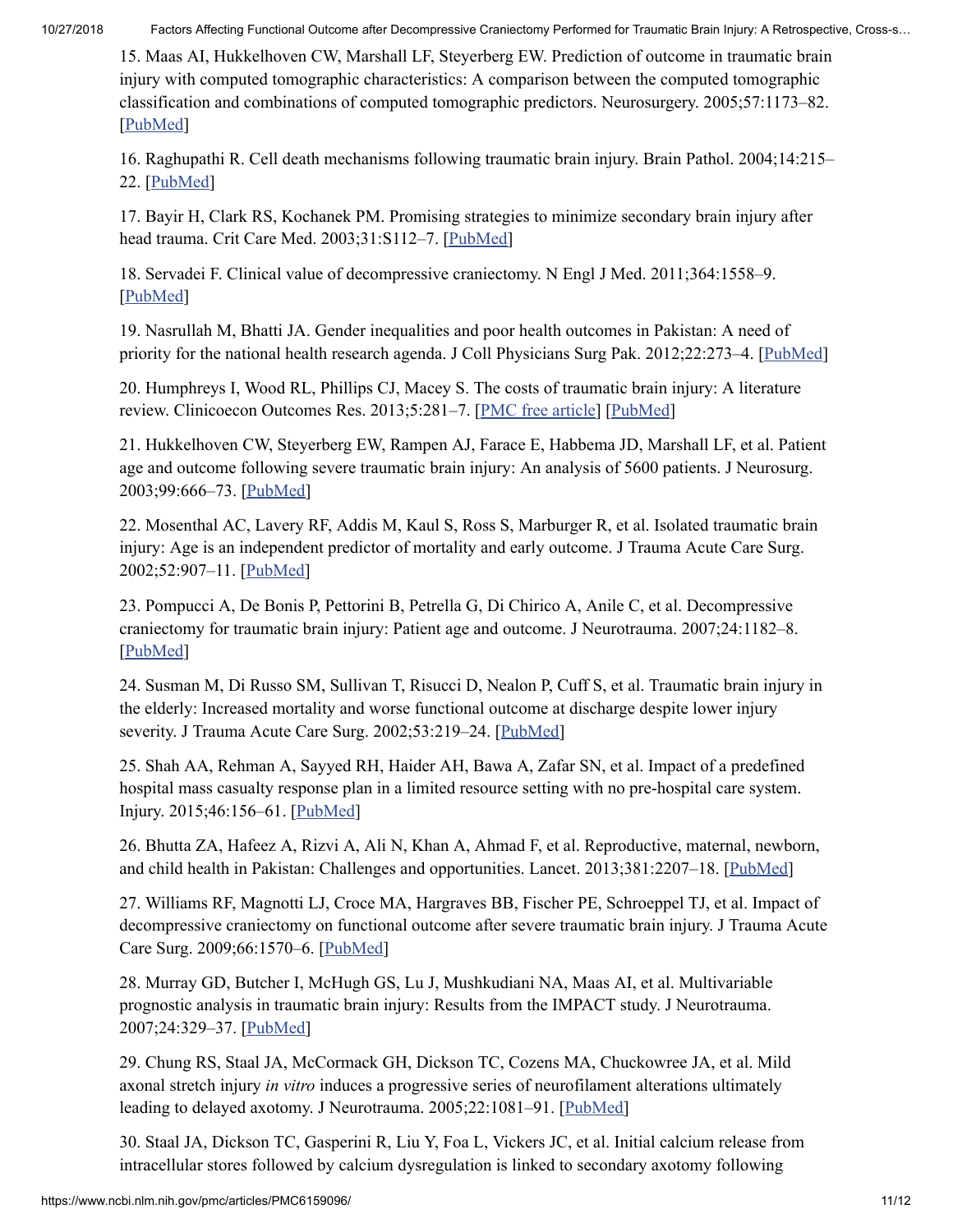<span id="page-11-0"></span>15. Maas AI, Hukkelhoven CW, Marshall LF, Steyerberg EW. Prediction of outcome in traumatic brain injury with computed tomographic characteristics: A comparison between the computed tomographic classification and combinations of computed tomographic predictors. Neurosurgery. 2005;57:1173–82. [\[PubMed\]](https://www.ncbi.nlm.nih.gov/pubmed/16331165)

<span id="page-11-1"></span>16. Raghupathi R. Cell death mechanisms following traumatic brain injury. Brain Pathol. 2004;14:215– 22. [\[PubMed](https://www.ncbi.nlm.nih.gov/pubmed/15193035)]

<span id="page-11-2"></span>17. Bayir H, Clark RS, Kochanek PM. Promising strategies to minimize secondary brain injury after head trauma. Crit Care Med. 2003;31:S112-7. [\[PubMed](https://www.ncbi.nlm.nih.gov/pubmed/12544985)]

<span id="page-11-3"></span>18. Servadei F. Clinical value of decompressive craniectomy. N Engl J Med. 2011;364:1558–9. [\[PubMed\]](https://www.ncbi.nlm.nih.gov/pubmed/21434844)

<span id="page-11-4"></span>19. Nasrullah M, Bhatti JA. Gender inequalities and poor health outcomes in Pakistan: A need of priority for the national health research agenda. J Coll Physicians Surg Pak. 2012;22:273–4. [\[PubMed](https://www.ncbi.nlm.nih.gov/pubmed/22538028)]

<span id="page-11-5"></span>20. Humphreys I, Wood RL, Phillips CJ, Macey S. The costs of traumatic brain injury: A literature review. Clinicoecon Outcomes Res. 2013;5:281–7. [PMC free [article\]](https://www.ncbi.nlm.nih.gov/pmc/articles/PMC3699059/) [[PubMed\]](https://www.ncbi.nlm.nih.gov/pubmed/23836998)

<span id="page-11-6"></span>21. Hukkelhoven CW, Steyerberg EW, Rampen AJ, Farace E, Habbema JD, Marshall LF, et al. Patient age and outcome following severe traumatic brain injury: An analysis of 5600 patients. J Neurosurg. 2003;99:666–73. [[PubMed](https://www.ncbi.nlm.nih.gov/pubmed/14567601)]

<span id="page-11-7"></span>22. Mosenthal AC, Lavery RF, Addis M, Kaul S, Ross S, Marburger R, et al. Isolated traumatic brain injury: Age is an independent predictor of mortality and early outcome. J Trauma Acute Care Surg. 2002;52:907–11. [\[PubMed](https://www.ncbi.nlm.nih.gov/pubmed/11988658)]

<span id="page-11-8"></span>23. Pompucci A, De Bonis P, Pettorini B, Petrella G, Di Chirico A, Anile C, et al. Decompressive craniectomy for traumatic brain injury: Patient age and outcome. J Neurotrauma. 2007;24:1182–8. [\[PubMed\]](https://www.ncbi.nlm.nih.gov/pubmed/17610357)

<span id="page-11-9"></span>24. Susman M, Di Russo SM, Sullivan T, Risucci D, Nealon P, Cuff S, et al. Traumatic brain injury in the elderly: Increased mortality and worse functional outcome at discharge despite lower injury severity. J Trauma Acute Care Surg. 2002;53:219-24. [[PubMed](https://www.ncbi.nlm.nih.gov/pubmed/12169925)]

<span id="page-11-10"></span>25. Shah AA, Rehman A, Sayyed RH, Haider AH, Bawa A, Zafar SN, et al. Impact of a predefined hospital mass casualty response plan in a limited resource setting with no pre-hospital care system. Injury. 2015;46:156–61. [[PubMed](https://www.ncbi.nlm.nih.gov/pubmed/25225172)]

<span id="page-11-11"></span>26. Bhutta ZA, Hafeez A, Rizvi A, Ali N, Khan A, Ahmad F, et al. Reproductive, maternal, newborn, and child health in Pakistan: Challenges and opportunities. Lancet. 2013;381:2207–18. [[PubMed](https://www.ncbi.nlm.nih.gov/pubmed/23684261)]

<span id="page-11-12"></span>27. Williams RF, Magnotti LJ, Croce MA, Hargraves BB, Fischer PE, Schroeppel TJ, et al. Impact of decompressive craniectomy on functional outcome after severe traumatic brain injury. J Trauma Acute Care Surg. 2009;66:1570–6. [[PubMed](https://www.ncbi.nlm.nih.gov/pubmed/19509616)]

<span id="page-11-13"></span>28. Murray GD, Butcher I, McHugh GS, Lu J, Mushkudiani NA, Maas AI, et al. Multivariable prognostic analysis in traumatic brain injury: Results from the IMPACT study. J Neurotrauma. 2007;24:329–37. [[PubMed](https://www.ncbi.nlm.nih.gov/pubmed/17375997)]

<span id="page-11-14"></span>29. Chung RS, Staal JA, McCormack GH, Dickson TC, Cozens MA, Chuckowree JA, et al. Mild axonal stretch injury *in vitro* induces a progressive series of neurofilament alterations ultimately leading to delayed axotomy. J Neurotrauma. 2005;22:1081–91. [\[PubMed\]](https://www.ncbi.nlm.nih.gov/pubmed/16238485)

<span id="page-11-15"></span>30. Staal JA, Dickson TC, Gasperini R, Liu Y, Foa L, Vickers JC, et al. Initial calcium release from intracellular stores followed by calcium dysregulation is linked to secondary axotomy following